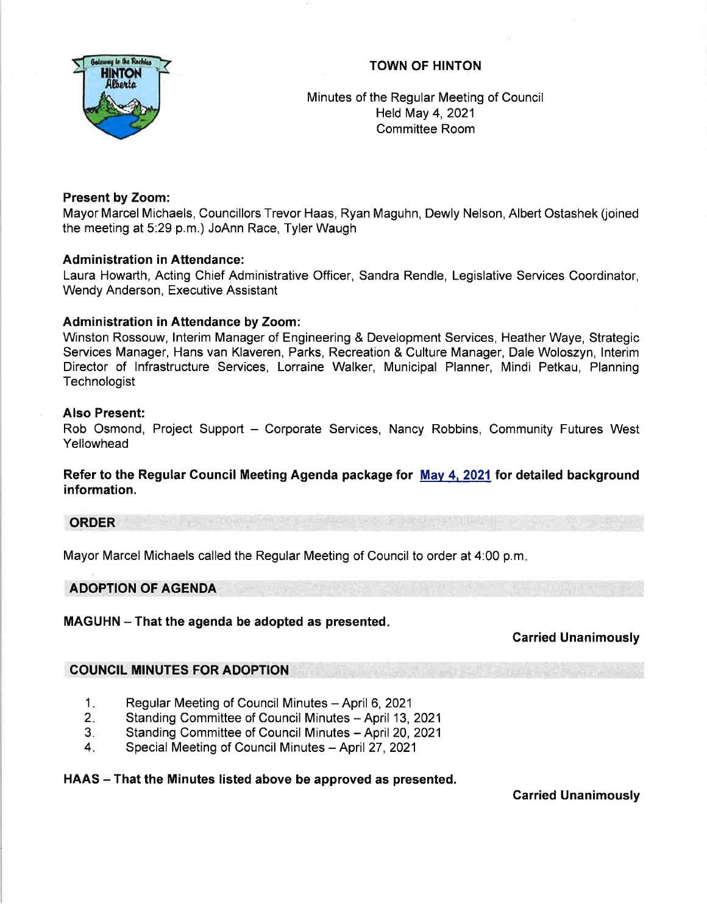## TOWN OF HINTON



Minutes of the Regular Meeting of Council Held May 4, 2021 Committee Room

## Present by Zoom:

Mayor Marcel Michaels, Councillors Trevor Haas, Ryan Maguhn, Dewly Nelson, Albert Ostashek (joined the meeting at 5:29 p.m.) JoAnn Race, Tyler Waugh

## Administration in Attendance:

Laura Howarth, Acting Chief Administrative Officer, Sandra Rendle, Legislative Services Coordinator, Wendy Anderson, Executive Assistant

## Administration in Attendance by Zoom:

Winston Rossouw, lnterim Manager of Engineering & Development Services, Heather Waye, Strategic Services Manager, Hans van Klaveren, Parks, Recreation & Culture Manager, Dale Woloszyn, lnterim Director of lnfrastructure Services, Lorraine Walker, Municipal Planner, Mindi Petkau, Planning **Technologist** 

### Also Present:

Rob Osmond, Project Support - Corporate Services, Nancy Robbins, Community Futures West Yellowhead

Refer to the Regular Council Meeting Agenda package for May 4, 2021 for detailed background information.

## ORDER

Mayor Marcel Michaels called the Regular Meeting of Council to order at 4:00 p.m

### ADOPTION OF AGENDA

### MAGUHN - That the agenda be adopted as presented.

### Carried Unanimously

### COUNCIL MINUTES FOR ADOPTION

- Regular Meeting of Council Minutes April 6, 2021 1.
- Standing Committee of Council Minutes April 13, 2021 2.
- Standing Committee of Council Minutes April 20, 2021 3.
- Special Meeting of Council Minutes April 27, 2021 4.

## HAAS – That the Minutes listed above be approved as presented.

Carried Unanimously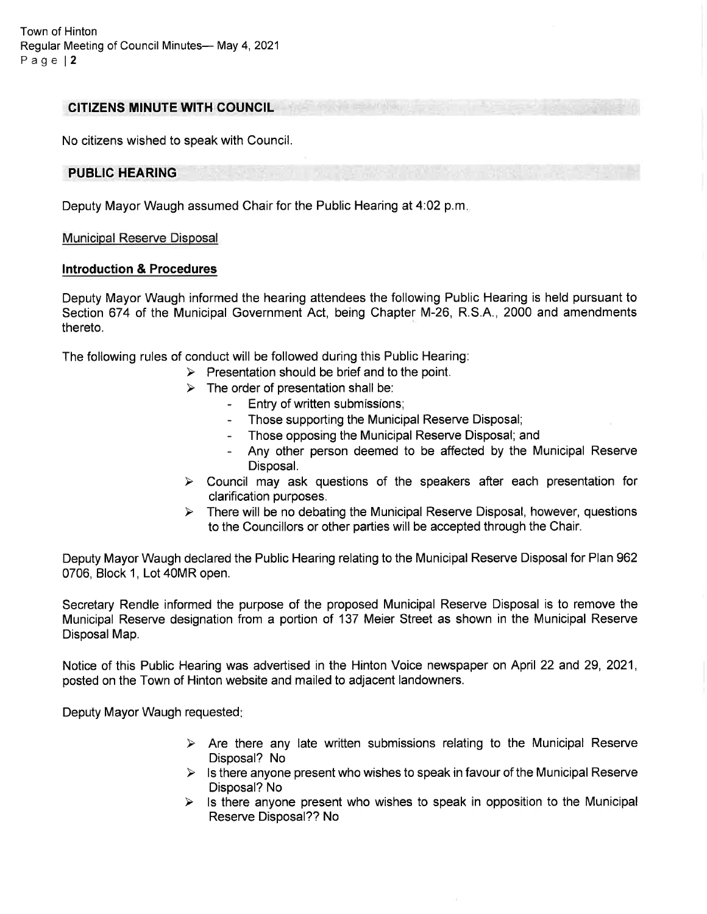Town of Hinton Regular Meeting of Council Minutes- May 4, 2021 Page | 2

#### CITIZENS MINUTE WITH COUNCIL

No citizens wished to speak with Council.

### PUBLIC HEARING

Deputy Mayor Waugh assumed Chair for the Public Hearing at 4:02 p.m

#### Municipal Reserve Disposal

#### lntroduction & Procedures

Deputy Mayor Waugh informed the hearing attendees the following Public Hearing is held pursuant to Section 674 of the Municipal Government Act, being Chapter M-26, R.S.A., 2000 and amendments thereto.

The following rules of conduct will be followed during this Public Hearing:

- $\triangleright$  Presentation should be brief and to the point.
- $\geq$  The order of presentation shall be:<br>Entry of written submissions;
	-
	- Those supporting the Municipal Reserve Disposal;
	- Those opposing the Municipal Reserve Disposal; and
	- Any other person deemed to be affected by the Municipal Reserve Disposal.
- $\triangleright$  Council may ask questions of the speakers after each presentation for clarification purposes.
- $\triangleright$  There will be no debating the Municipal Reserve Disposal, however, questions to the Councillors or other parties will be accepted through the Chair.

Deputy Mayor Waugh declared the Public Hearing relating to the Municipal Reserve Disposal for Plan 962 0706, Block 1, Lot 40MR open.

Secretary Rendle informed the purpose of the proposed Municipal Reserve Disposal is to remove the Municipal Reserve designation from a portion of 137 Meier Street as shown in the Municipal Reserve Disposal Map.

Notice of this Public Hearing was advertised in the Hinton Voice newspaper on April 22 and 29, 2021, posted on the Town of Hinton website and mailed to adjacent landowners.

Deputy Mayor Waugh requested

- $\triangleright$  Are there any late written submissions relating to the Municipal Reserve Disposal? No
- $\triangleright$  Is there anyone present who wishes to speak in favour of the Municipal Reserve Disposal? No
- $\triangleright$  Is there anyone present who wishes to speak in opposition to the Municipal Reserve Disposal?? No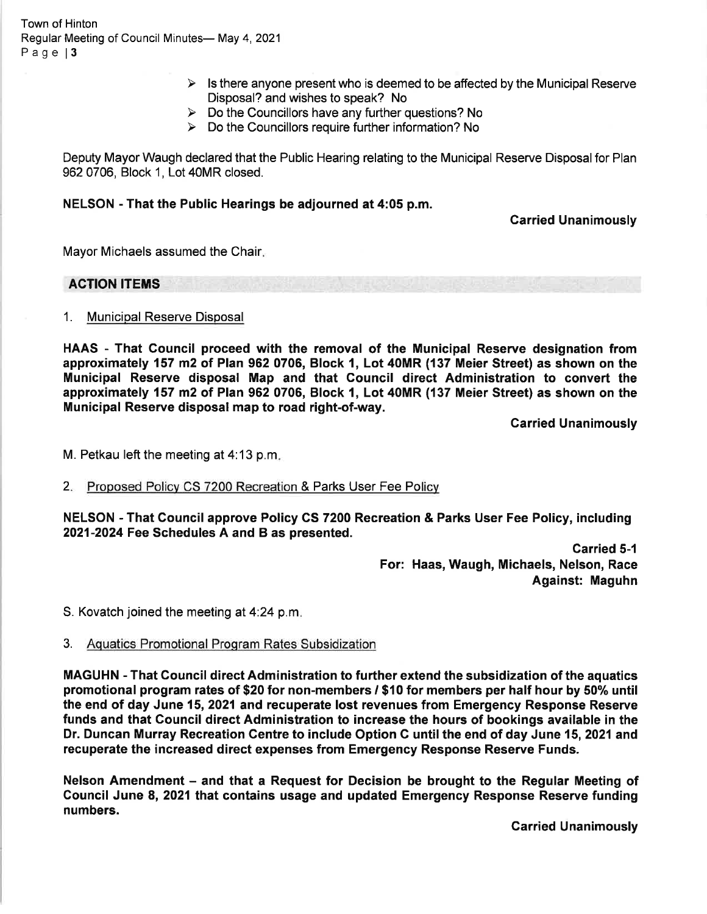Town of Hinton Regular Meeting of Council Minutes- May 4, 2021 Page 13

- $\triangleright$  Is there anyone present who is deemed to be affected by the Municipal Reserve Disposal? and wishes to speak? No<br>  $\triangleright$  Do the Councillors have any further questions? No
- 
- $\triangleright$  Do the Councillors require further information? No

Deputy Mayor Waugh declared that the Public Hearing relating to the Municipal Reserve Disposal for Plan 962 0706, Block 1, Lot 40MR closed.

### NELSON - That the Public Hearings be adjourned at 4:05 p.m.

### Garried Unanimously

Mayor Michaels assumed the Chair

# ACTION ITEMS

1. Municioal Reserve Disposal

HAAS - That Council proceed with the removal of the Municipal Reserve designation from approximately 157 m2 of Plan 962 0706, Block 1, Lot 40MR (137 Meier Street) as shown on the Municipal Reserve disposal Map and that Gouncil direct Administration to convert the approximately 157 m2 of Plan 962 0706, Block 1, Lot 40MR (137 Meier Street) as shown on the Municipal Reserve disposal map to road right-of-way.

Garried Unanimously

M. Petkau left the meeting at 4:13 p.m

2. Proposed Policy CS 7200 Recreation & Parks User Fee Po

NELSON - That Gouncil approve Policy CS 7200 Recreation & Parks User Fee Policy, including 2021-2024 Fee Schedules A and B as presented.

> Carried 5-1 For: Haas, Waugh, Michaels, Nelson, Race Against: Maguhn

S. Kovatch joined the meeting at  $4:24$  p.m.

3. Aquatics Promotional Proqram Rates Subsidization

MAGUHN - That Council direct Administration to further extend the subsidization of the aquatics promotional program rates of \$20 for non-members / \$10 for members per half hour by 50% until the end of day June 15,2021 and recuperate lost revenues from Emergency Response Reserve funds and that Council direct Administration to increase the hours of bookings available in the Dr. Duncan Murray Recreation Centre to include Option C until the end of day June 15, 2021 and recuperate the increased direct expenses from Emergency Response Reserve Funds.

Nelson Amendment - and that a Request for Decision be brought to the Regular Meeting of Council June 8, 2021 that contains usage and updated Emergency Response Reserve funding numbers.

**Carried Unanimously**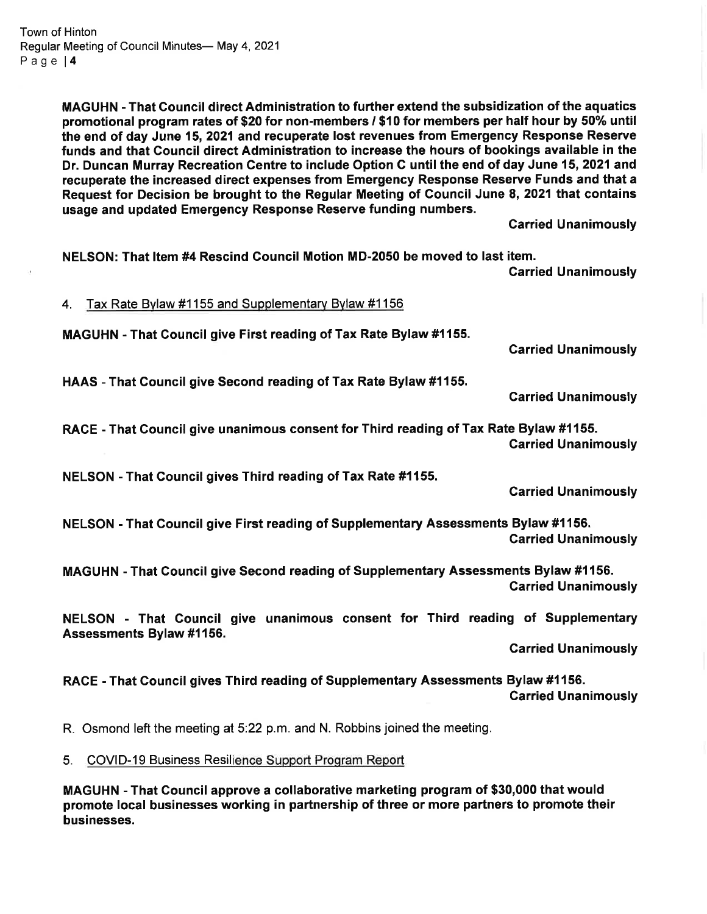MAGUHN - That Council direct Administration to further extend the subsidization of the aquatics promotional program rates of \$20 for non-members / \$10 for members per half hour by 50% until the end of day June 15, 2021 and recuperate lost revenues from Emergency Response Reserve funds and that Gouncil direct Administration to increase the hours of bookings available in the Dr. Duncan Murray Recreation Centre to include Option C until the end of day June 15, 2021 and recuperate the increased direct expenses from Emergency Response Reserve Funds and that a Request for Decision be brought to the Regular Meeting of Council June 8, 2021 that contains usage and updated Emergency Response Reserve funding numbers.

Garried Unanimously

NELSON: That ltem #4 Rescind Gouncil Motion MD-2050 be moved to last item. Carried Unanimously 4. Tax Rate Bylaw #1155 and Supplementary Bylaw #1156 MAGUHN - That Gouncil give First reading of Tax Rate Bylaw #1155. Garried Unanimously HAAS - That Gouncil give Second reading of Tax Rate Bylaw #1155. Carried Unanimously RACE - That Gouncil give unanimous consent for Third reading of Tax Rate Bylaw #1155. Carried Unanimously NELSON - That Council gives Third reading of Tax Rate #1155. Garried Unanimously NELSON - That Council give First reading of Supplementary Assessments Bylaw #1156. Garried Unanimously MAGUHN - That Council give Second reading of Supplementary Assessments Bylaw #1156. Garried Unanimously NELSON - That Gouncil give unanimous consent for Third reading of Supplementary Assessments Bylaw #1156. Garried Unanimously RACE - That Gouncil gives Third reading of Supplementary Assessments Bylaw #1156. Carried Unanimously R. Osmond left the meeting at 5:22 p.m. and N. Robbins joined the meeting. 5. COVID-19 Business Resilience Support Program Report

MAGUHN - That Council approve a collaborative marketing program of \$30,000 that would promote local businesses working in partnership of three or more partners to promote their businesses.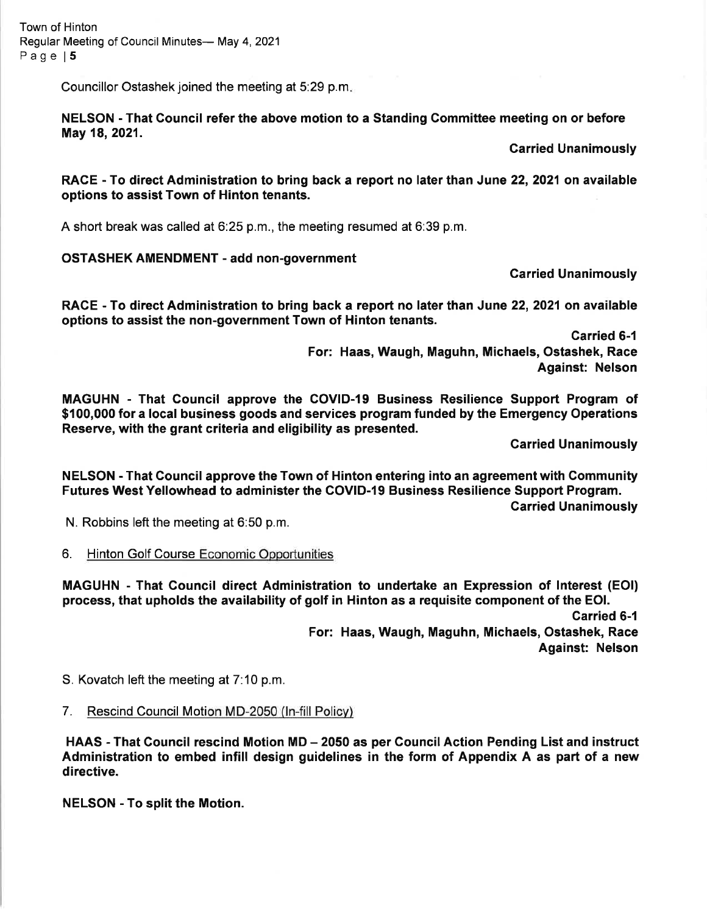Town of Hinton Regular Meeting of Council Minutes- May 4, 2021 Page | 5

Councillor Ostashek joined the meeting at 5:29 p.m

NELSON - That Gouncil refer the above motion to a Standing Committee meeting on or before May 18, 2021.

Garried Unanimously

RACE - To direct Administration to bring back a report no later than June 22, 2021 on available options to assist Town of Hinton tenants.

A short break was called at 6:25 p.m., the meeting resumed at 6:39 p.m.

## OSTASHEK AMENDMENT - add non-government

Carried Unanimously

RACE - To direct Administration to bring back a report no later than June 22, 2021 on available options to assist the non-government Town of Hinton tenants.

> Carried 6-1 For: Haas, Waugh, Maguhn, Michaels, Ostashek, Race Against: Nelson

MAGUHN - That Council approve the COVID-19 Business Resilience Support Program of \$100,000 for a local business goods and services program funded by the Emergency Operations Reserve, with the grant criteria and eligibility as presented.

Garried Unanimously

NELSON - That Gouncil approve the Town of Hinton entering into an agreementwith Community Futures West Yellowhead to administer the COVID-19 Business Resilience Support Program. Garried Unanimously

N. Robbins left the meeting at 6:50 p.m.

6. Hinton Golf Course Economic Opportunities

MAGUHN - That Gouncil direct Administration to undertake an Expression of Interest (EOl) process, that upholds the availability of golf in Hinton as a requisite component of the EOl.

> Carried 6-1 For: Haas, Waugh, Maguhn, Michaels, Ostashek, Race Against: Nelson

S. Kovatch left the meeting at 7:10 p.m.

## 7. Rescind Council Motion MD-2050 (ln-fill Policv)

HAAS - That Council rescind Motion MD - 2050 as per Council Action Pending List and instruct Administration to embed infill design guidelines in the form of Appendix A as part of a new directive.

NELSON - To split the Motion.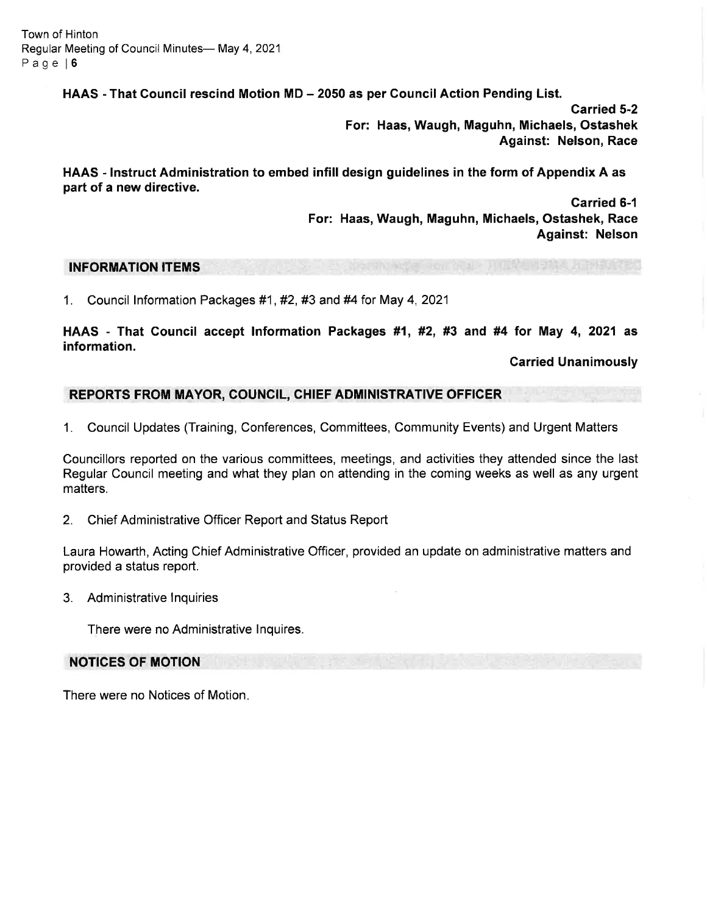Town of Hinton Regular Meeting of Council Minutes-May 4, 2021 Page l6

HAAS - That Council rescind Motion MD – 2050 as per Council Action Pending List.

Garried 5-2 For: Haas, Waugh, Maguhn, Michaels, Ostashek Against: Nelson, Race

HAAS - Instruct Administration to embed infill design guidelines in the form of Appendix A as part of a new directive.

> Garried 6-1 For: Haas, Waugh, Maguhn, Michaels, Ostashek, Race Against: Nelson

## INFORMATION ITEMS

1. Council Information Packages #1, #2, #3 and #4 for May 4, 2021

HAAS - That Council accept lnformation Packages #1, #2, #3 and #4 for May 4, 2021 as information.

Carried Unanimously

## REPORTS FROM MAYOR, COUNCIL, CHIEF ADMINISTRATIVE OFFICER

1. Council Updates (Training, Conferences, Committees, Community Events) and Urgent Matters

Councillors reported on the various committees, meetings, and activities they attended since the last Regular Council meeting and what they plan on attending in the coming weeks as well as any urgent matters.

2. Chief Administrative Officer Report and Status Report

Laura Howarth, Acting Chief Administrative Officer, provided an update on administrative matters and provided a status report.

3. Administrative Inquiries

There were no Administrative lnquires.

### NOTICES OF MOTION

There were no Notices of Motion